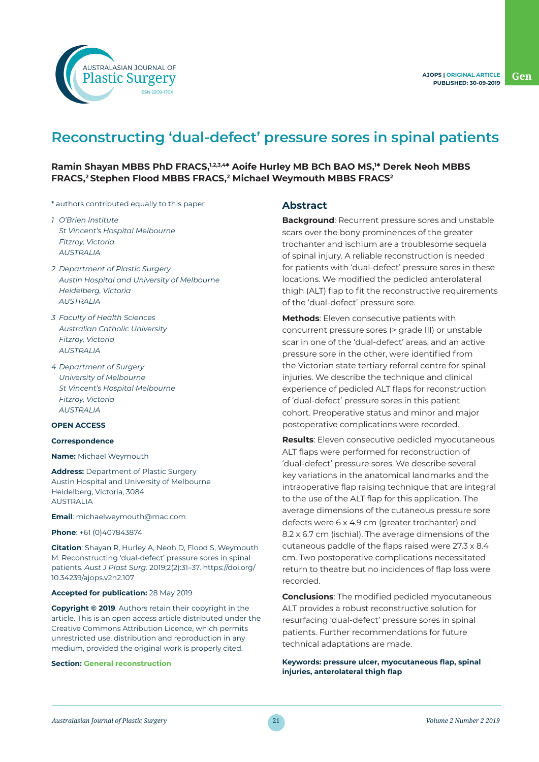

# **Reconstructing 'dual-defect' pressure sores in spinal patients**

# **Ramin Shayan MBBS PhD FRACS,1,2,3,4\* Aoife Hurley MB BCh BAO MS,1 \* Derek Neoh MBBS FRACS,2 Stephen Flood MBBS FRACS,2 Michael Weymouth MBBS FRACS2**

- \* authors contributed equally to this paper
- *1 O'Brien Institute St Vincent's Hospital Melbourne Fitzroy, Victoria AUSTRALIA*
- *2 Department of Plastic Surgery Austin Hospital and University of Melbourne Heidelberg, Victoria AUSTRALIA*
- *3 Faculty of Health Sciences Australian Catholic University Fitzroy, Victoria AUSTRALIA*
- *4 Department of Surgery University of Melbourne St Vincent's Hospital Melbourne Fitzroy, Victoria AUSTRALIA*

## **OPEN ACCESS**

#### **Correspondence**

**Name:** Michael Weymouth

**Address:** Department of Plastic Surgery Austin Hospital and University of Melbourne Heidelberg, Victoria, 3084 AUSTRALIA

**Email**: michaelweymouth@mac.com

**Phone**: +61 (0)407843874

**Citation**: Shayan R, Hurley A, Neoh D, Flood S, Weymouth M. Reconstructing 'dual-defect' pressure sores in spinal patients. *Aust J Plast Surg*. 2019;2(2):31–37. https://doi.org/ 10.34239/ajops.v2n2.107

#### **Accepted for publication:** 28 May 2019

**Copyright © 2019**. Authors retain their copyright in the article. This is an open access article distributed under the Creative Commons Attribution Licence, which permits unrestricted use, distribution and reproduction in any medium, provided the original work is properly cited.

#### **Section: General reconstruction**

### **Abstract**

**Background**: Recurrent pressure sores and unstable scars over the bony prominences of the greater trochanter and ischium are a troublesome sequela of spinal injury. A reliable reconstruction is needed for patients with 'dual-defect' pressure sores in these locations. We modified the pedicled anterolateral thigh (ALT) flap to fit the reconstructive requirements of the 'dual-defect' pressure sore.

**Methods**: Eleven consecutive patients with concurrent pressure sores (> grade III) or unstable scar in one of the 'dual-defect' areas, and an active pressure sore in the other, were identified from the Victorian state tertiary referral centre for spinal injuries. We describe the technique and clinical experience of pedicled ALT flaps for reconstruction of 'dual-defect' pressure sores in this patient cohort. Preoperative status and minor and major postoperative complications were recorded.

**Results**: Eleven consecutive pedicled myocutaneous ALT flaps were performed for reconstruction of 'dual-defect' pressure sores. We describe several key variations in the anatomical landmarks and the intraoperative flap raising technique that are integral to the use of the ALT flap for this application. The average dimensions of the cutaneous pressure sore defects were 6 x 4.9 cm (greater trochanter) and 8.2 x 6.7 cm (ischial). The average dimensions of the cutaneous paddle of the flaps raised were 27.3 x 8.4 cm. Two postoperative complications necessitated return to theatre but no incidences of flap loss were recorded.

**Conclusions**: The modified pedicled myocutaneous ALT provides a robust reconstructive solution for resurfacing 'dual-defect' pressure sores in spinal patients. Further recommendations for future technical adaptations are made.

**Keywords: pressure ulcer, myocutaneous flap, spinal injuries, anterolateral thigh flap**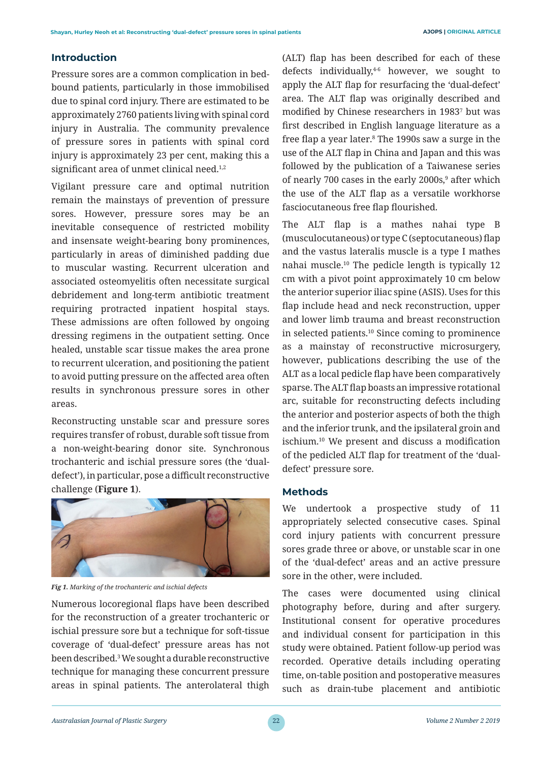# **Introduction**

Pressure sores are a common complication in bedbound patients, particularly in those immobilised due to spinal cord injury. There are estimated to be approximately 2760 patients living with spinal cord injury in Australia. The community prevalence of pressure sores in patients with spinal cord injury is approximately 23 per cent, making this a significant area of unmet clinical need.<sup>1,2</sup>

Vigilant pressure care and optimal nutrition remain the mainstays of prevention of pressure sores. However, pressure sores may be an inevitable consequence of restricted mobility and insensate weight-bearing bony prominences, particularly in areas of diminished padding due to muscular wasting. Recurrent ulceration and associated osteomyelitis often necessitate surgical debridement and long-term antibiotic treatment requiring protracted inpatient hospital stays. These admissions are often followed by ongoing dressing regimens in the outpatient setting. Once healed, unstable scar tissue makes the area prone to recurrent ulceration, and positioning the patient to avoid putting pressure on the affected area often results in synchronous pressure sores in other areas.

Reconstructing unstable scar and pressure sores requires transfer of robust, durable soft tissue from a non-weight-bearing donor site. Synchronous trochanteric and ischial pressure sores (the 'dualdefect'), in particular, pose a difficult reconstructive challenge (**Figure 1**).



*Fig 1. Marking of the trochanteric and ischial defects*

Numerous locoregional flaps have been described for the reconstruction of a greater trochanteric or ischial pressure sore but a technique for soft-tissue coverage of 'dual-defect' pressure areas has not been described.3 We sought a durable reconstructive technique for managing these concurrent pressure areas in spinal patients. The anterolateral thigh

(ALT) flap has been described for each of these defects individually,<sup>4-6</sup> however, we sought to apply the ALT flap for resurfacing the 'dual-defect' area. The ALT flap was originally described and modified by Chinese researchers in 1983<sup>7</sup> but was first described in English language literature as a free flap a year later.<sup>8</sup> The 1990s saw a surge in the use of the ALT flap in China and Japan and this was followed by the publication of a Taiwanese series of nearly 700 cases in the early 2000s,<sup>9</sup> after which the use of the ALT flap as a versatile workhorse fasciocutaneous free flap flourished.

The ALT flap is a mathes nahai type B (musculocutaneous) or type C (septocutaneous) flap and the vastus lateralis muscle is a type I mathes nahai muscle.10 The pedicle length is typically 12 cm with a pivot point approximately 10 cm below the anterior superior iliac spine (ASIS). Uses for this flap include head and neck reconstruction, upper and lower limb trauma and breast reconstruction in selected patients.10 Since coming to prominence as a mainstay of reconstructive microsurgery, however, publications describing the use of the ALT as a local pedicle flap have been comparatively sparse. The ALT flap boasts an impressive rotational arc, suitable for reconstructing defects including the anterior and posterior aspects of both the thigh and the inferior trunk, and the ipsilateral groin and ischium.10 We present and discuss a modification of the pedicled ALT flap for treatment of the 'dualdefect' pressure sore.

# **Methods**

We undertook a prospective study of 11 appropriately selected consecutive cases. Spinal cord injury patients with concurrent pressure sores grade three or above, or unstable scar in one of the 'dual-defect' areas and an active pressure sore in the other, were included.

The cases were documented using clinical photography before, during and after surgery. Institutional consent for operative procedures and individual consent for participation in this study were obtained. Patient follow-up period was recorded. Operative details including operating time, on-table position and postoperative measures such as drain-tube placement and antibiotic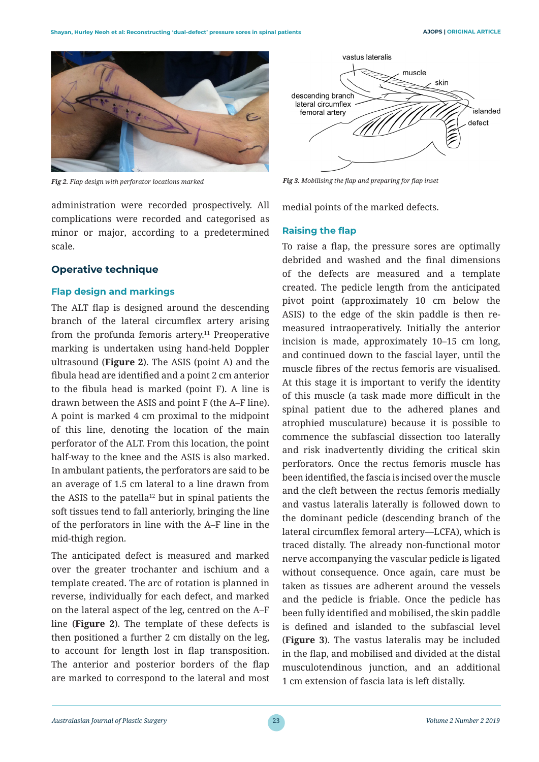

administration were recorded prospectively. All complications were recorded and categorised as minor or major, according to a predetermined scale.

## **Operative technique**

## **Flap design and markings**

The ALT flap is designed around the descending branch of the lateral circumflex artery arising from the profunda femoris artery.<sup>11</sup> Preoperative marking is undertaken using hand-held Doppler ultrasound (**Figure 2**). The ASIS (point A) and the fibula head are identified and a point 2 cm anterior to the fibula head is marked (point F). A line is drawn between the ASIS and point F (the A–F line). A point is marked 4 cm proximal to the midpoint of this line, denoting the location of the main perforator of the ALT. From this location, the point half-way to the knee and the ASIS is also marked. In ambulant patients, the perforators are said to be an average of 1.5 cm lateral to a line drawn from the ASIS to the patella<sup>12</sup> but in spinal patients the soft tissues tend to fall anteriorly, bringing the line of the perforators in line with the A–F line in the mid-thigh region.

The anticipated defect is measured and marked over the greater trochanter and ischium and a template created. The arc of rotation is planned in reverse, individually for each defect, and marked on the lateral aspect of the leg, centred on the A–F line (**Figure 2**). The template of these defects is then positioned a further 2 cm distally on the leg, to account for length lost in flap transposition. The anterior and posterior borders of the flap are marked to correspond to the lateral and most



*Fig 2. Flap design with perforator locations marked Fig 3. Mobilising the flap and preparing for flap inset*

medial points of the marked defects.

#### **Raising the flap**

To raise a flap, the pressure sores are optimally debrided and washed and the final dimensions of the defects are measured and a template created. The pedicle length from the anticipated pivot point (approximately 10 cm below the ASIS) to the edge of the skin paddle is then remeasured intraoperatively. Initially the anterior incision is made, approximately 10–15 cm long, and continued down to the fascial layer, until the muscle fibres of the rectus femoris are visualised. At this stage it is important to verify the identity of this muscle (a task made more difficult in the spinal patient due to the adhered planes and atrophied musculature) because it is possible to commence the subfascial dissection too laterally and risk inadvertently dividing the critical skin perforators. Once the rectus femoris muscle has been identified, the fascia is incised over the muscle and the cleft between the rectus femoris medially and vastus lateralis laterally is followed down to the dominant pedicle (descending branch of the lateral circumflex femoral artery—LCFA), which is traced distally. The already non-functional motor nerve accompanying the vascular pedicle is ligated without consequence. Once again, care must be taken as tissues are adherent around the vessels and the pedicle is friable. Once the pedicle has been fully identified and mobilised, the skin paddle is defined and islanded to the subfascial level (**Figure 3**). The vastus lateralis may be included in the flap, and mobilised and divided at the distal musculotendinous junction, and an additional 1 cm extension of fascia lata is left distally.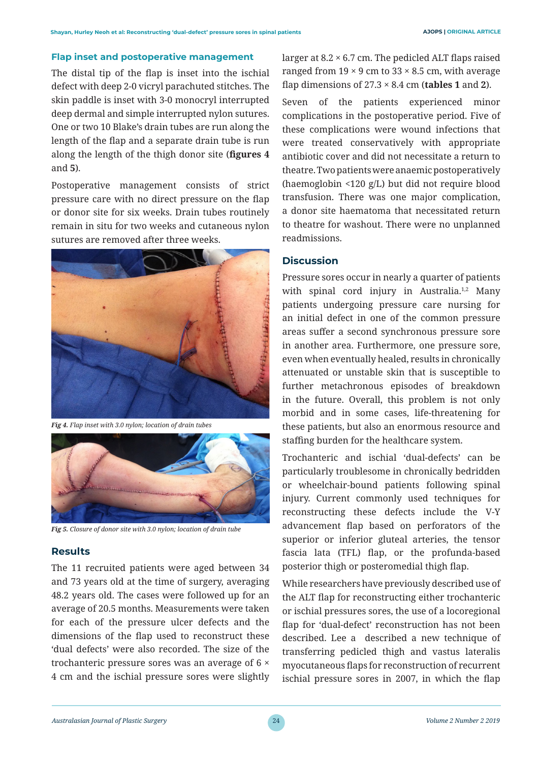## **Flap inset and postoperative management**

The distal tip of the flap is inset into the ischial defect with deep 2-0 vicryl parachuted stitches. The skin paddle is inset with 3-0 monocryl interrupted deep dermal and simple interrupted nylon sutures. One or two 10 Blake's drain tubes are run along the length of the flap and a separate drain tube is run along the length of the thigh donor site (**figures 4**  and **5**).

Postoperative management consists of strict pressure care with no direct pressure on the flap or donor site for six weeks. Drain tubes routinely remain in situ for two weeks and cutaneous nylon sutures are removed after three weeks.



*Fig 4. Flap inset with 3.0 nylon; location of drain tubes*



*Fig 5. Closure of donor site with 3.0 nylon; location of drain tube*

## **Results**

The 11 recruited patients were aged between 34 and 73 years old at the time of surgery, averaging 48.2 years old. The cases were followed up for an average of 20.5 months. Measurements were taken for each of the pressure ulcer defects and the dimensions of the flap used to reconstruct these 'dual defects' were also recorded. The size of the trochanteric pressure sores was an average of 6 × 4 cm and the ischial pressure sores were slightly

larger at  $8.2 \times 6.7$  cm. The pedicled ALT flaps raised ranged from  $19 \times 9$  cm to  $33 \times 8.5$  cm, with average flap dimensions of  $27.3 \times 8.4$  cm (**tables 1** and **2**).

Seven of the patients experienced minor complications in the postoperative period. Five of these complications were wound infections that were treated conservatively with appropriate antibiotic cover and did not necessitate a return to theatre. Two patients were anaemic postoperatively (haemoglobin <120 g/L) but did not require blood transfusion. There was one major complication, a donor site haematoma that necessitated return to theatre for washout. There were no unplanned readmissions.

# **Discussion**

Pressure sores occur in nearly a quarter of patients with spinal cord injury in Australia.<sup>1,2</sup> Many patients undergoing pressure care nursing for an initial defect in one of the common pressure areas suffer a second synchronous pressure sore in another area. Furthermore, one pressure sore, even when eventually healed, results in chronically attenuated or unstable skin that is susceptible to further metachronous episodes of breakdown in the future. Overall, this problem is not only morbid and in some cases, life-threatening for these patients, but also an enormous resource and staffing burden for the healthcare system.

Trochanteric and ischial 'dual-defects' can be particularly troublesome in chronically bedridden or wheelchair-bound patients following spinal injury. Current commonly used techniques for reconstructing these defects include the V-Y advancement flap based on perforators of the superior or inferior gluteal arteries, the tensor fascia lata (TFL) flap, or the profunda-based posterior thigh or posteromedial thigh flap.

While researchers have previously described use of the ALT flap for reconstructing either trochanteric or ischial pressures sores, the use of a locoregional flap for 'dual-defect' reconstruction has not been described. Lee a described a new technique of transferring pedicled thigh and vastus lateralis myocutaneous flaps for reconstruction of recurrent ischial pressure sores in 2007, in which the flap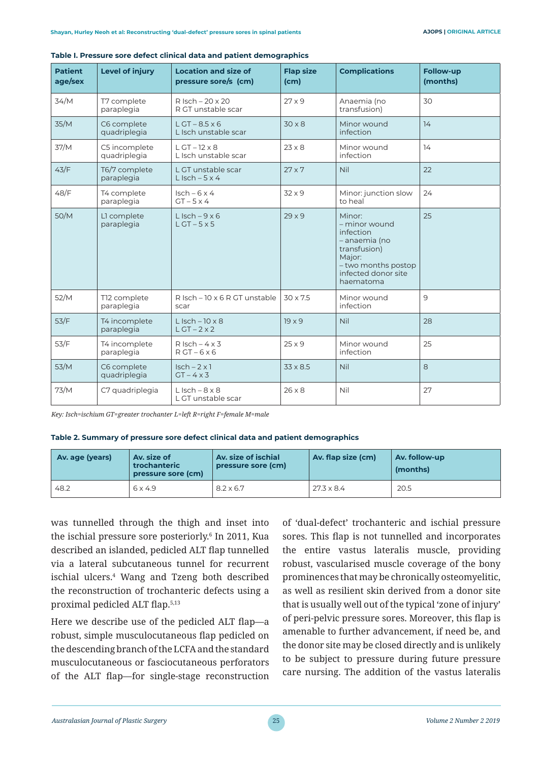| <b>Patient</b><br>age/sex | <b>Level of injury</b>        | <b>Location and size of</b><br>pressure sore/s (cm) | <b>Flap size</b><br>(c <sub>m</sub> ) | <b>Complications</b>                                                                                                                       | <b>Follow-up</b><br>(months) |
|---------------------------|-------------------------------|-----------------------------------------------------|---------------------------------------|--------------------------------------------------------------------------------------------------------------------------------------------|------------------------------|
| 34/M                      | T7 complete<br>paraplegia     | $R$ Isch $-20 \times 20$<br>R GT unstable scar      | $27 \times 9$                         | Anaemia (no<br>transfusion)                                                                                                                | 30                           |
| 35/M                      | C6 complete<br>quadriplegia   | $LGT - 8.5 \times 6$<br>L Isch unstable scar        | $30 \times 8$                         | Minor wound<br>infection                                                                                                                   | 14                           |
| 37/M                      | C5 incomplete<br>quadriplegia | $LGT - 12 \times 8$<br>L Isch unstable scar         | $23 \times 8$                         | Minor wound<br>infection                                                                                                                   | 14                           |
| 43/F                      | T6/7 complete<br>paraplegia   | L GT unstable scar<br>L Isch $-5x4$                 | $27 \times 7$                         | Nil                                                                                                                                        | 22                           |
| 48/F                      | T4 complete<br>paraplegia     | $Isch - 6x 4$<br>$GT - 5 \times 4$                  | $32 \times 9$                         | Minor: junction slow<br>to heal                                                                                                            | 24                           |
| 50/M                      | L1 complete<br>paraplegia     | L Isch $-9x6$<br>$LGT - 5 \times 5$                 | 29x9                                  | Minor:<br>- minor wound<br>infection<br>- anaemia (no<br>transfusion)<br>Major:<br>- two months postop<br>infected donor site<br>haematoma | 25                           |
| 52/M                      | T12 complete<br>paraplegia    | R Isch - 10 x 6 R GT unstable<br>scar               | $30 \times 7.5$                       | Minor wound<br>infection                                                                                                                   | 9                            |
| 53/F                      | T4 incomplete<br>paraplegia   | $L$ Isch – 10 x 8<br>$LGT - 2 \times 2$             | $19 \times 9$                         | Nil                                                                                                                                        | 28                           |
| 53/F                      | T4 incomplete<br>paraplegia   | $R$ Isch – 4 x 3<br>$RGT-6 \times 6$                | $25 \times 9$                         | Minor wound<br>infection                                                                                                                   | 25                           |
| 53/M                      | C6 complete<br>quadriplegia   | $Isch - 2x1$<br>$GT - 4 \times 3$                   | $33 \times 8.5$                       | Nil                                                                                                                                        | 8                            |
| 73/M                      | C7 quadriplegia               | L Isch $-8 \times 8$<br>L GT unstable scar          | $26 \times 8$                         | Nil                                                                                                                                        | 27                           |

| Table I. Pressure sore defect clinical data and patient demographics |  |  |  |  |
|----------------------------------------------------------------------|--|--|--|--|
|----------------------------------------------------------------------|--|--|--|--|

*Key: Isch=ischium GT=greater trochanter L=left R=right F=female M=male*

#### **Table 2. Summary of pressure sore defect clinical data and patient demographics**

| Av. age (years) | Av. size of<br>trochanteric<br>pressure sore (cm) | Av. size of ischial<br>pressure sore (cm) | Av. flap size (cm) | Av. follow-up<br>(months) |
|-----------------|---------------------------------------------------|-------------------------------------------|--------------------|---------------------------|
| 48.2            | $6 \times 4.9$                                    | $8.2 \times 6.7$                          | $27.3 \times 8.4$  | 20.5                      |

was tunnelled through the thigh and inset into the ischial pressure sore posteriorly.6 In 2011, Kua described an islanded, pedicled ALT flap tunnelled via a lateral subcutaneous tunnel for recurrent ischial ulcers.4 Wang and Tzeng both described the reconstruction of trochanteric defects using a proximal pedicled ALT flap.5,13

Here we describe use of the pedicled ALT flap—a robust, simple musculocutaneous flap pedicled on the descending branch of the LCFA and the standard musculocutaneous or fasciocutaneous perforators of the ALT flap—for single-stage reconstruction of 'dual-defect' trochanteric and ischial pressure sores. This flap is not tunnelled and incorporates the entire vastus lateralis muscle, providing robust, vascularised muscle coverage of the bony prominences that may be chronically osteomyelitic, as well as resilient skin derived from a donor site that is usually well out of the typical 'zone of injury' of peri-pelvic pressure sores. Moreover, this flap is amenable to further advancement, if need be, and the donor site may be closed directly and is unlikely to be subject to pressure during future pressure care nursing. The addition of the vastus lateralis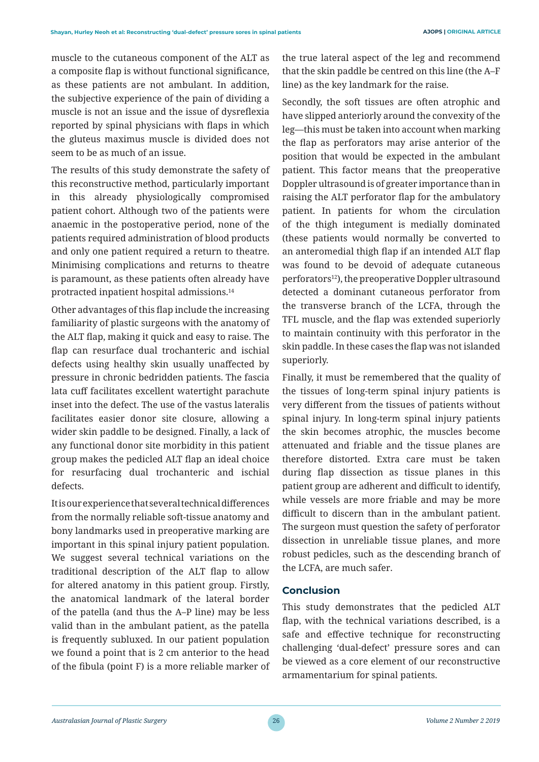muscle to the cutaneous component of the ALT as a composite flap is without functional significance, as these patients are not ambulant. In addition, the subjective experience of the pain of dividing a muscle is not an issue and the issue of dysreflexia reported by spinal physicians with flaps in which the gluteus maximus muscle is divided does not seem to be as much of an issue.

The results of this study demonstrate the safety of this reconstructive method, particularly important in this already physiologically compromised patient cohort. Although two of the patients were anaemic in the postoperative period, none of the patients required administration of blood products and only one patient required a return to theatre. Minimising complications and returns to theatre is paramount, as these patients often already have protracted inpatient hospital admissions.14

Other advantages of this flap include the increasing familiarity of plastic surgeons with the anatomy of the ALT flap, making it quick and easy to raise. The flap can resurface dual trochanteric and ischial defects using healthy skin usually unaffected by pressure in chronic bedridden patients. The fascia lata cuff facilitates excellent watertight parachute inset into the defect. The use of the vastus lateralis facilitates easier donor site closure, allowing a wider skin paddle to be designed. Finally, a lack of any functional donor site morbidity in this patient group makes the pedicled ALT flap an ideal choice for resurfacing dual trochanteric and ischial defects.

It is our experience that several technical differences from the normally reliable soft-tissue anatomy and bony landmarks used in preoperative marking are important in this spinal injury patient population. We suggest several technical variations on the traditional description of the ALT flap to allow for altered anatomy in this patient group. Firstly, the anatomical landmark of the lateral border of the patella (and thus the A–P line) may be less valid than in the ambulant patient, as the patella is frequently subluxed. In our patient population we found a point that is 2 cm anterior to the head of the fibula (point F) is a more reliable marker of the true lateral aspect of the leg and recommend that the skin paddle be centred on this line (the A–F line) as the key landmark for the raise.

Secondly, the soft tissues are often atrophic and have slipped anteriorly around the convexity of the leg—this must be taken into account when marking the flap as perforators may arise anterior of the position that would be expected in the ambulant patient. This factor means that the preoperative Doppler ultrasound is of greater importance than in raising the ALT perforator flap for the ambulatory patient. In patients for whom the circulation of the thigh integument is medially dominated (these patients would normally be converted to an anteromedial thigh flap if an intended ALT flap was found to be devoid of adequate cutaneous perforators<sup>12</sup>), the preoperative Doppler ultrasound detected a dominant cutaneous perforator from the transverse branch of the LCFA, through the TFL muscle, and the flap was extended superiorly to maintain continuity with this perforator in the skin paddle. In these cases the flap was not islanded superiorly.

Finally, it must be remembered that the quality of the tissues of long-term spinal injury patients is very different from the tissues of patients without spinal injury. In long-term spinal injury patients the skin becomes atrophic, the muscles become attenuated and friable and the tissue planes are therefore distorted. Extra care must be taken during flap dissection as tissue planes in this patient group are adherent and difficult to identify, while vessels are more friable and may be more difficult to discern than in the ambulant patient. The surgeon must question the safety of perforator dissection in unreliable tissue planes, and more robust pedicles, such as the descending branch of the LCFA, are much safer.

# **Conclusion**

This study demonstrates that the pedicled ALT flap, with the technical variations described, is a safe and effective technique for reconstructing challenging 'dual-defect' pressure sores and can be viewed as a core element of our reconstructive armamentarium for spinal patients.